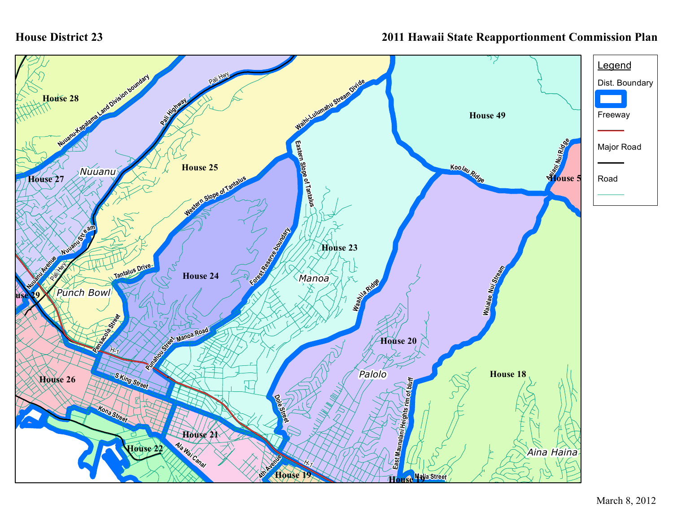## **House District 23**

## **2011 Hawaii State Reapportionment Commission Plan**